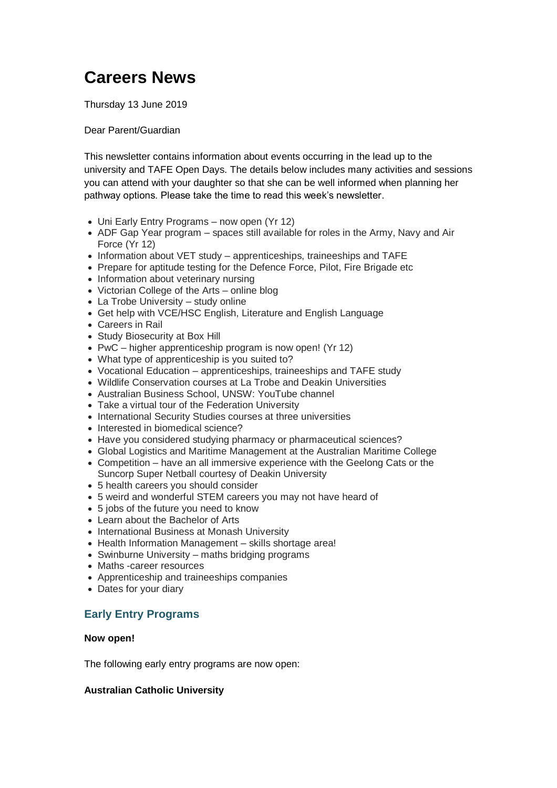# **Careers News**

Thursday 13 June 2019

#### Dear Parent/Guardian

This newsletter contains information about events occurring in the lead up to the university and TAFE Open Days. The details below includes many activities and sessions you can attend with your daughter so that she can be well informed when planning her pathway options. Please take the time to read this week's newsletter.

- Uni Early Entry Programs now open (Yr 12)
- ADF Gap Year program spaces still available for roles in the Army, Navy and Air Force (Yr 12)
- Information about VET study apprenticeships, traineeships and TAFE
- Prepare for aptitude testing for the Defence Force, Pilot, Fire Brigade etc
- Information about veterinary nursing
- Victorian College of the Arts online blog
- La Trobe University study online
- Get help with VCE/HSC English, Literature and English Language
- Careers in Rail
- Study Biosecurity at Box Hill
- PwC higher apprenticeship program is now open! (Yr 12)
- What type of apprenticeship is you suited to?
- Vocational Education apprenticeships, traineeships and TAFE study
- Wildlife Conservation courses at La Trobe and Deakin Universities
- Australian Business School, UNSW: YouTube channel
- Take a virtual tour of the Federation University
- International Security Studies courses at three universities
- Interested in biomedical science?
- Have you considered studying pharmacy or pharmaceutical sciences?
- Global Logistics and Maritime Management at the Australian Maritime College
- Competition have an all immersive experience with the Geelong Cats or the Suncorp Super Netball courtesy of Deakin University
- 5 health careers you should consider
- 5 weird and wonderful STEM careers you may not have heard of
- 5 jobs of the future you need to know
- Learn about the Bachelor of Arts
- International Business at Monash University
- Health Information Management skills shortage area!
- Swinburne University maths bridging programs
- Maths -career resources
- Apprenticeship and traineeships companies
- Dates for your diary

# **Early Entry Programs**

#### **Now open!**

The following early entry programs are now open:

## **Australian Catholic University**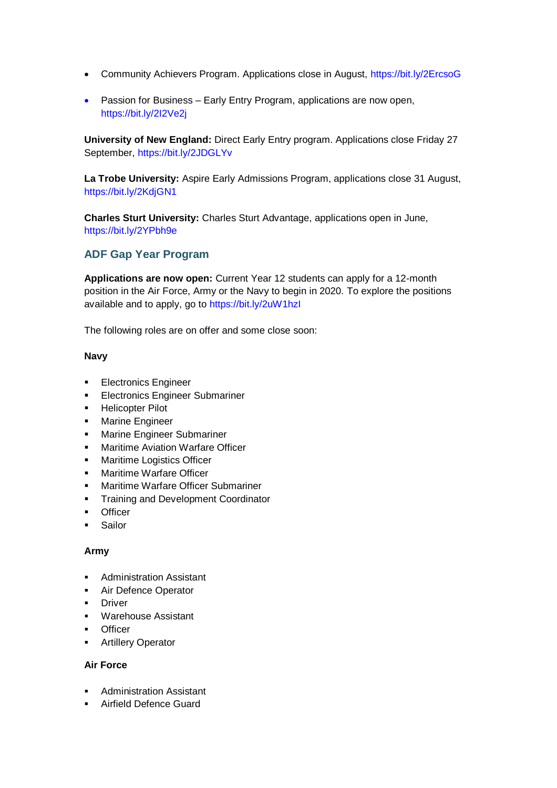- Community Achievers Program. Applications close in August,<https://bit.ly/2ErcsoG>
- Passion for Business Early Entry Program, applications are now open, <https://bit.ly/2I2Ve2j>

**University of New England:** Direct Early Entry program. Applications close Friday 27 September,<https://bit.ly/2JDGLYv>

**La Trobe University:** Aspire Early Admissions Program, applications close 31 August, <https://bit.ly/2KdjGN1>

**Charles Sturt University:** Charles Sturt Advantage, applications open in June, <https://bit.ly/2YPbh9e>

# **ADF Gap Year Program**

**Applications are now open:** Current Year 12 students can apply for a 12-month position in the Air Force, Army or the Navy to begin in 2020. To explore the positions available and to apply, go to<https://bit.ly/2uW1hzI>

The following roles are on offer and some close soon:

#### **Navy**

- **Electronics Engineer**
- **Electronics Engineer Submariner**
- Helicopter Pilot
- **■** Marine Engineer
- **■** Marine Engineer Submariner
- Maritime Aviation Warfare Officer
- Maritime Logistics Officer
- Maritime Warfare Officer
- Maritime Warfare Officer Submariner
- **•** Training and Development Coordinator
- Officer
- Sailor

#### **Army**

- Administration Assistant
- **Air Defence Operator**
- **■** Driver
- Warehouse Assistant
- Officer
- **•** Artillery Operator

#### **Air Force**

- Administration Assistant
- **·** Airfield Defence Guard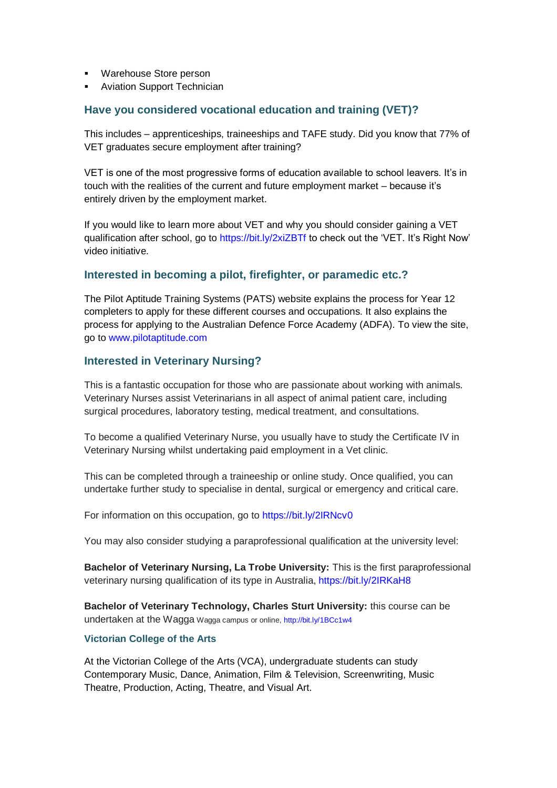- Warehouse Store person
- **Aviation Support Technician**

## **Have you considered vocational education and training (VET)?**

This includes – apprenticeships, traineeships and TAFE study. Did you know that 77% of VET graduates secure employment after training?

VET is one of the most progressive forms of education available to school leavers. It's in touch with the realities of the current and future employment market – because it's entirely driven by the employment market.

If you would like to learn more about VET and why you should consider gaining a VET qualification after school, go to<https://bit.ly/2xiZBTf> to check out the 'VET. It's Right Now' video initiative.

## **Interested in becoming a pilot, firefighter, or paramedic etc.?**

The Pilot Aptitude Training Systems (PATS) website explains the process for Year 12 completers to apply for these different courses and occupations. It also explains the process for applying to the Australian Defence Force Academy (ADFA). To view the site, go to [www.pilotaptitude.com](http://www.pilotaptitude.com/)

#### **Interested in Veterinary Nursing?**

This is a fantastic occupation for those who are passionate about working with animals. Veterinary Nurses assist Veterinarians in all aspect of animal patient care, including surgical procedures, laboratory testing, medical treatment, and consultations.

To become a qualified Veterinary Nurse, you usually have to study the Certificate IV in Veterinary Nursing whilst undertaking paid employment in a Vet clinic.

This can be completed through a traineeship or online study. Once qualified, you can undertake further study to specialise in dental, surgical or emergency and critical care.

For information on this occupation, go to<https://bit.ly/2IRNcv0>

You may also consider studying a paraprofessional qualification at the university level:

**Bachelor of Veterinary Nursing, La Trobe University:** This is the first paraprofessional veterinary nursing qualification of its type in Australia,<https://bit.ly/2IRKaH8>

**Bachelor of Veterinary Technology, Charles Sturt University:** this course can be undertaken at the Wagga Wagga campus or online,<http://bit.ly/1BCc1w4>

#### **Victorian College of the Arts**

At the Victorian College of the Arts (VCA), undergraduate students can study Contemporary Music, Dance, Animation, Film & Television, Screenwriting, Music Theatre, Production, Acting, Theatre, and Visual Art.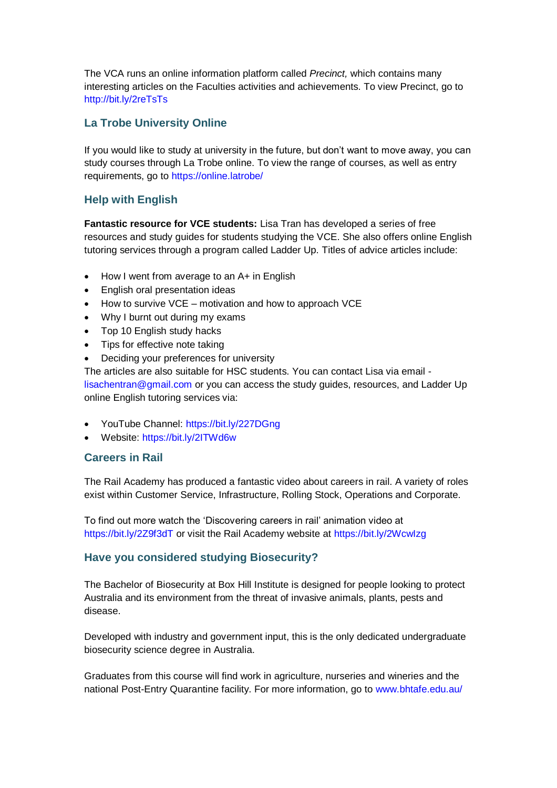The VCA runs an online information platform called *Precinct,* which contains many interesting articles on the Faculties activities and achievements. To view Precinct, go to <http://bit.ly/2reTsTs>

# **La Trobe University Online**

If you would like to study at university in the future, but don't want to move away, you can study courses through La Trobe online. To view the range of courses, as well as entry requirements, go to<https://online.latrobe/>

# **Help with English**

**Fantastic resource for VCE students:** Lisa Tran has developed a series of free resources and study guides for students studying the VCE. She also offers online English tutoring services through a program called Ladder Up. Titles of advice articles include:

- How I went from average to an A+ in English
- English oral presentation ideas
- How to survive VCE motivation and how to approach VCE
- Why I burnt out during my exams
- Top 10 English study hacks
- Tips for effective note taking
- Deciding your preferences for university

The articles are also suitable for HSC students. You can contact Lisa via email [lisachentran@gmail.com](mailto:lisachentran@gmail.com) or you can access the study guides, resources, and Ladder Up online English tutoring services via:

- YouTube Channel:<https://bit.ly/227DGng>
- Website:<https://bit.ly/2ITWd6w>

## **Careers in Rail**

The Rail Academy has produced a fantastic video about careers in rail. A variety of roles exist within Customer Service, Infrastructure, Rolling Stock, Operations and Corporate.

To find out more watch the 'Discovering careers in rail' animation video at <https://bit.ly/2Z9f3dT> or visit the Rail Academy website at<https://bit.ly/2WcwIzg>

## **Have you considered studying Biosecurity?**

The Bachelor of Biosecurity at Box Hill Institute is designed for people looking to protect Australia and its environment from the threat of invasive animals, plants, pests and disease.

Developed with industry and government input, this is the only dedicated undergraduate biosecurity science degree in Australia.

Graduates from this course will find work in agriculture, nurseries and wineries and the national Post-Entry Quarantine facility. For more information, go to [www.bhtafe.edu.au/](http://www.bhtafe.edu.au/)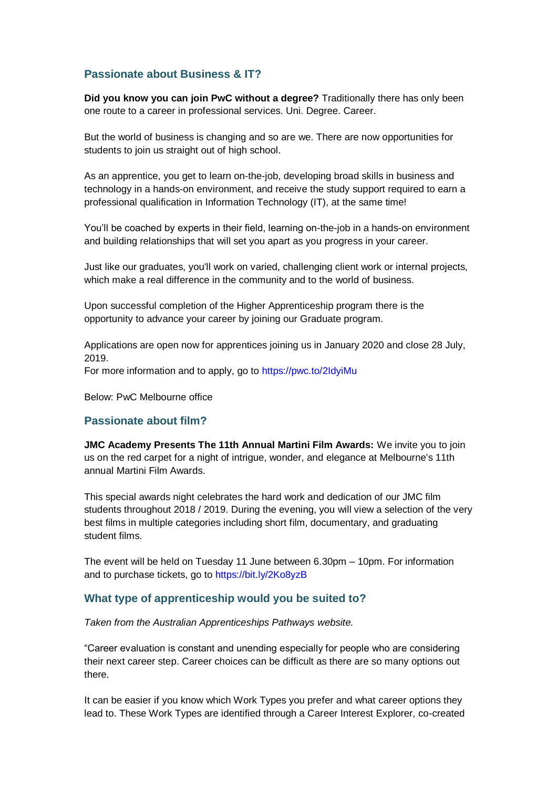# **Passionate about Business & IT?**

**Did you know you can join PwC without a degree?** Traditionally there has only been one route to a career in professional services. Uni. Degree. Career.

But the world of business is changing and so are we. There are now opportunities for students to join us straight out of high school.

As an apprentice, you get to learn on-the-job, developing broad skills in business and technology in a hands-on environment, and receive the study support required to earn a professional qualification in Information Technology (IT), at the same time!

You'll be coached by experts in their field, learning on-the-job in a hands-on environment and building relationships that will set you apart as you progress in your career.

Just like our graduates, you'll work on varied, challenging client work or internal projects, which make a real difference in the community and to the world of business.

Upon successful completion of the Higher Apprenticeship program there is the opportunity to advance your career by joining our Graduate program.

Applications are open now for apprentices joining us in January 2020 and close 28 July, 2019. For more information and to apply, go to<https://pwc.to/2IdyiMu>

Below: PwC Melbourne office

## **Passionate about film?**

**JMC Academy Presents The 11th Annual Martini Film Awards:** We invite you to join us on the red carpet for a night of intrigue, wonder, and elegance at Melbourne's 11th annual Martini Film Awards.

This special awards night celebrates the hard work and dedication of our JMC film students throughout 2018 / 2019. During the evening, you will view a selection of the very best films in multiple categories including short film, documentary, and graduating student films.

The event will be held on Tuesday 11 June between 6.30pm – 10pm. For information and to purchase tickets, go to<https://bit.ly/2Ko8yzB>

#### **What type of apprenticeship would you be suited to?**

*Taken from the Australian Apprenticeships Pathways website.* 

"Career evaluation is constant and unending especially for people who are considering their next career step. Career choices can be difficult as there are so many options out there.

It can be easier if you know which Work Types you prefer and what career options they lead to. These Work Types are identified through a Career Interest Explorer, co-created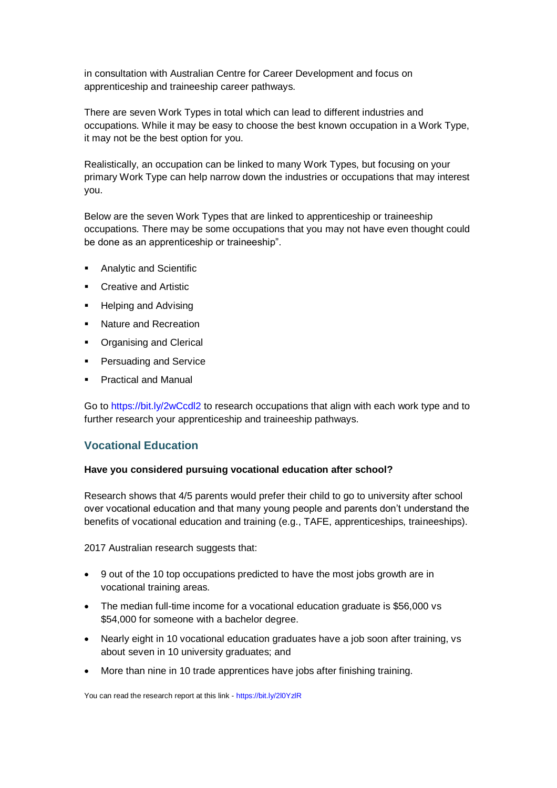in consultation with Australian Centre for Career Development and focus on apprenticeship and traineeship career pathways.

There are seven Work Types in total which can lead to different industries and occupations. While it may be easy to choose the best known occupation in a Work Type, it may not be the best option for you.

Realistically, an occupation can be linked to many Work Types, but focusing on your primary Work Type can help narrow down the industries or occupations that may interest you.

Below are the seven Work Types that are linked to apprenticeship or traineeship occupations. There may be some occupations that you may not have even thought could be done as an apprenticeship or traineeship".

- **Analytic and Scientific**
- **Creative and Artistic**
- Helping and Advising
- Nature and Recreation
- Organising and Clerical
- Persuading and Service
- **Practical and Manual**

Go to<https://bit.ly/2wCcdl2> to research occupations that align with each work type and to further research your apprenticeship and traineeship pathways.

## **Vocational Education**

#### **Have you considered pursuing vocational education after school?**

Research shows that 4/5 parents would prefer their child to go to university after school over vocational education and that many young people and parents don't understand the benefits of vocational education and training (e.g., TAFE, apprenticeships, traineeships).

2017 Australian research suggests that:

- 9 out of the 10 top occupations predicted to have the most jobs growth are in vocational training areas.
- The median full-time income for a vocational education graduate is \$56,000 vs \$54,000 for someone with a bachelor degree.
- Nearly eight in 10 vocational education graduates have a job soon after training, vs about seven in 10 university graduates; and
- More than nine in 10 trade apprentices have jobs after finishing training.

You can read the research report at this link - <https://bit.ly/2l0YzlR>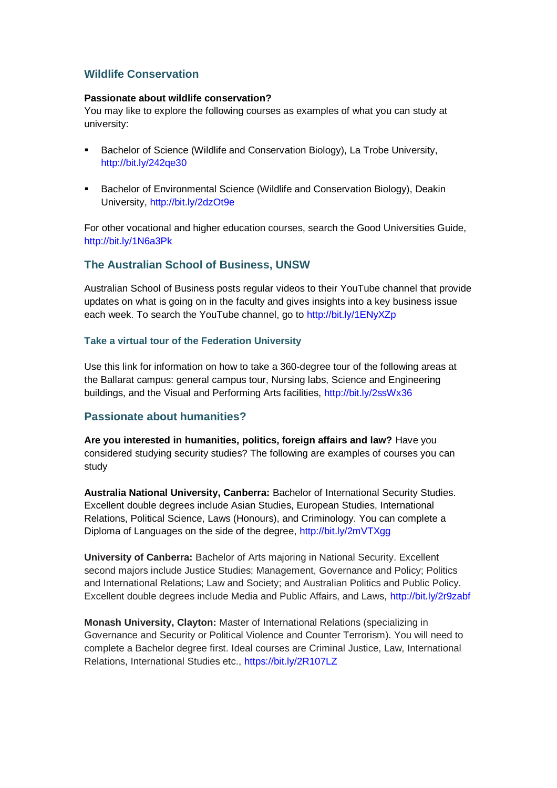# **Wildlife Conservation**

#### **Passionate about wildlife conservation?**

You may like to explore the following courses as examples of what you can study at university:

- Bachelor of Science (Wildlife and Conservation Biology), La Trobe University, <http://bit.ly/242qe30>
- Bachelor of Environmental Science (Wildlife and Conservation Biology), Deakin University,<http://bit.ly/2dzOt9e>

For other vocational and higher education courses, search the Good Universities Guide, <http://bit.ly/1N6a3Pk>

## **The Australian School of Business, UNSW**

Australian School of Business posts regular videos to their YouTube channel that provide updates on what is going on in the faculty and gives insights into a key business issue each week. To search the YouTube channel, go to<http://bit.ly/1ENyXZp>

#### **Take a virtual tour of the Federation University**

Use this link for information on how to take a 360-degree tour of the following areas at the Ballarat campus: general campus tour, Nursing labs, Science and Engineering buildings, and the Visual and Performing Arts facilities,<http://bit.ly/2ssWx36>

## **Passionate about humanities?**

**Are you interested in humanities, politics, foreign affairs and law?** Have you considered studying security studies? The following are examples of courses you can study

**Australia National University, Canberra:** Bachelor of International Security Studies. Excellent double degrees include Asian Studies, European Studies, International Relations, Political Science, Laws (Honours), and Criminology. You can complete a Diploma of Languages on the side of the degree,<http://bit.ly/2mVTXgg>

**University of Canberra:** Bachelor of Arts majoring in National Security. Excellent second majors include Justice Studies; Management, Governance and Policy; Politics and International Relations; Law and Society; and Australian Politics and Public Policy. Excellent double degrees include Media and Public Affairs, and Laws,<http://bit.ly/2r9zabf>

**Monash University, Clayton:** Master of International Relations (specializing in Governance and Security or Political Violence and Counter Terrorism). You will need to complete a Bachelor degree first. Ideal courses are Criminal Justice, Law, International Relations, International Studies etc.,<https://bit.ly/2R107LZ>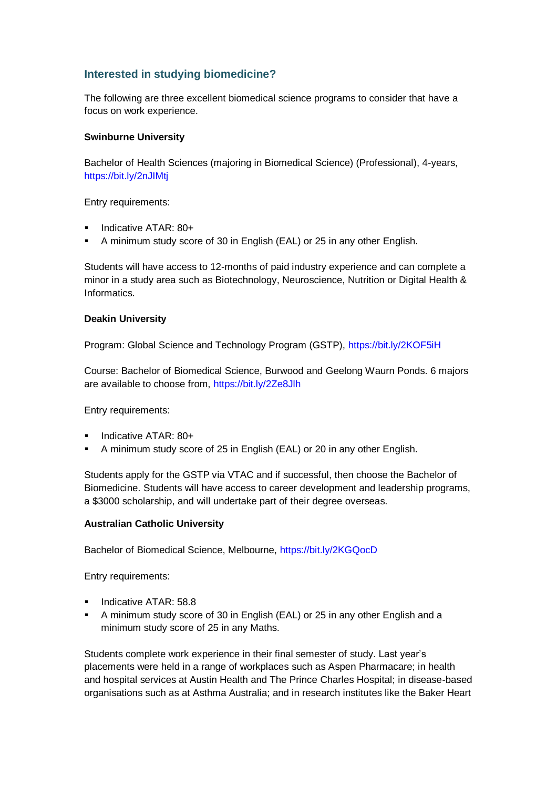# **Interested in studying biomedicine?**

The following are three excellent biomedical science programs to consider that have a focus on work experience.

#### **Swinburne University**

Bachelor of Health Sciences (majoring in Biomedical Science) (Professional), 4-years, <https://bit.ly/2nJIMtj>

Entry requirements:

- Indicative ATAR: 80+
- A minimum study score of 30 in English (EAL) or 25 in any other English.

Students will have access to 12-months of paid industry experience and can complete a minor in a study area such as Biotechnology, Neuroscience, Nutrition or Digital Health & Informatics.

#### **Deakin University**

Program: Global Science and Technology Program (GSTP),<https://bit.ly/2KOF5iH>

Course: Bachelor of Biomedical Science, Burwood and Geelong Waurn Ponds. 6 majors are available to choose from,<https://bit.ly/2Ze8Jlh>

Entry requirements:

- **·** Indicative ATAR: 80+
- A minimum study score of 25 in English (EAL) or 20 in any other English.

Students apply for the GSTP via VTAC and if successful, then choose the Bachelor of Biomedicine. Students will have access to career development and leadership programs, a \$3000 scholarship, and will undertake part of their degree overseas.

## **Australian Catholic University**

Bachelor of Biomedical Science, Melbourne,<https://bit.ly/2KGQocD>

Entry requirements:

- **·** Indicative ATAR: 58.8
- A minimum study score of 30 in English (EAL) or 25 in any other English and a minimum study score of 25 in any Maths.

Students complete work experience in their final semester of study. Last year's placements were held in a range of workplaces such as Aspen Pharmacare; in health and hospital services at Austin Health and The Prince Charles Hospital; in disease-based organisations such as at Asthma Australia; and in research institutes like the Baker Heart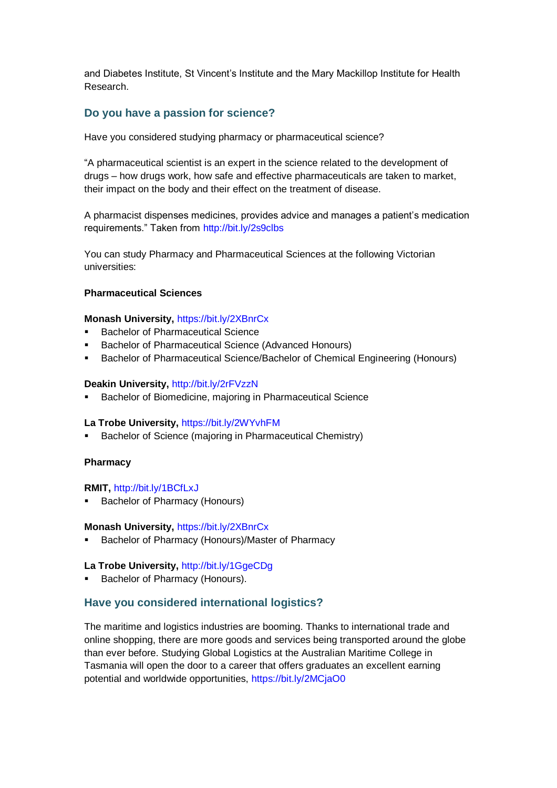and Diabetes Institute, St Vincent's Institute and the Mary Mackillop Institute for Health Research.

#### **Do you have a passion for science?**

Have you considered studying pharmacy or pharmaceutical science?

"A pharmaceutical scientist is an expert in the science related to the development of drugs – how drugs work, how safe and effective pharmaceuticals are taken to market, their impact on the body and their effect on the treatment of disease.

A pharmacist dispenses medicines, provides advice and manages a patient's medication requirements." Taken from<http://bit.ly/2s9clbs>

You can study Pharmacy and Pharmaceutical Sciences at the following Victorian universities:

#### **Pharmaceutical Sciences**

#### **Monash University,** <https://bit.ly/2XBnrCx>

- Bachelor of Pharmaceutical Science
- **Bachelor of Pharmaceutical Science (Advanced Honours)**
- **Bachelor of Pharmaceutical Science/Bachelor of Chemical Engineering (Honours)**

#### **Deakin University,** <http://bit.ly/2rFVzzN>

Bachelor of Biomedicine, majoring in Pharmaceutical Science

#### **La Trobe University,** <https://bit.ly/2WYvhFM>

Bachelor of Science (majoring in Pharmaceutical Chemistry)

#### **Pharmacy**

#### **RMIT,** <http://bit.ly/1BCfLxJ>

■ Bachelor of Pharmacy (Honours)

#### **Monash University,** <https://bit.ly/2XBnrCx>

Bachelor of Pharmacy (Honours)/Master of Pharmacy

#### La Trobe University, <http://bit.ly/1GgeCDg>

■ Bachelor of Pharmacy (Honours).

#### **Have you considered international logistics?**

The maritime and logistics industries are booming. Thanks to international trade and online shopping, there are more goods and services being transported around the globe than ever before. Studying Global Logistics at the Australian Maritime College in Tasmania will open the door to a career that offers graduates an excellent earning potential and worldwide opportunities,<https://bit.ly/2MCjaO0>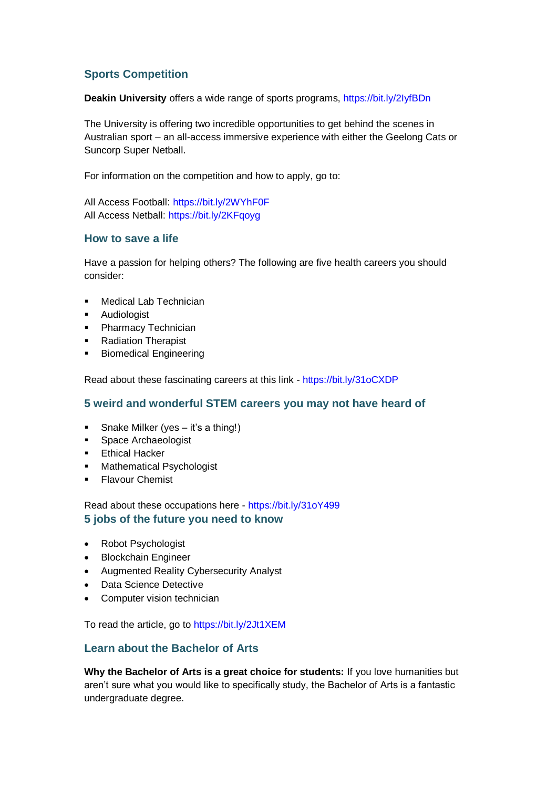# **Sports Competition**

**Deakin University** offers a wide range of sports programs,<https://bit.ly/2IyfBDn>

The University is offering two incredible opportunities to get behind the scenes in Australian sport – an all-access immersive experience with either the Geelong Cats or Suncorp Super Netball.

For information on the competition and how to apply, go to:

All Access Football:<https://bit.ly/2WYhF0F> All Access Netball:<https://bit.ly/2KFqoyg>

## **How to save a life**

Have a passion for helping others? The following are five health careers you should consider:

- Medical Lab Technician
- Audiologist
- **•** Pharmacy Technician
- Radiation Therapist
- **■** Biomedical Engineering

Read about these fascinating careers at this link - <https://bit.ly/31oCXDP>

## **5 weird and wonderful STEM careers you may not have heard of**

- Snake Milker (yes it's a thing!)
- Space Archaeologist
- **Ethical Hacker**
- Mathematical Psychologist
- **•** Flavour Chemist

Read about these occupations here - <https://bit.ly/31oY499> **5 jobs of the future you need to know**

- Robot Psychologist
- Blockchain Engineer
- Augmented Reality Cybersecurity Analyst
- Data Science Detective
- Computer vision technician

To read the article, go t[o https://bit.ly/2Jt1XEM](https://bit.ly/2Jt1XEM)

## **Learn about the Bachelor of Arts**

**Why the Bachelor of Arts is a great choice for students:** If you love humanities but aren't sure what you would like to specifically study, the Bachelor of Arts is a fantastic undergraduate degree.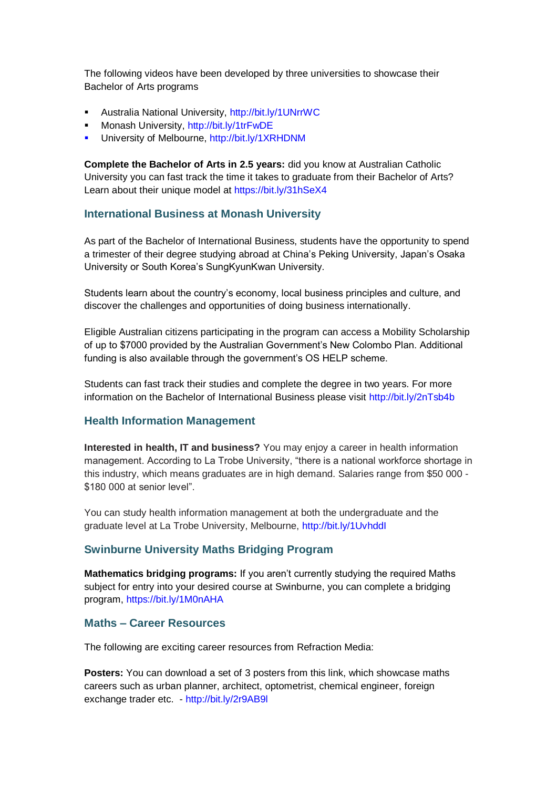The following videos have been developed by three universities to showcase their Bachelor of Arts programs

- Australia National University,<http://bit.ly/1UNrrWC>
- Monash University,<http://bit.ly/1trFwDE>
- University of Melbourne,<http://bit.ly/1XRHDNM>

**Complete the Bachelor of Arts in 2.5 years:** did you know at Australian Catholic University you can fast track the time it takes to graduate from their Bachelor of Arts? Learn about their unique model at<https://bit.ly/31hSeX4>

#### **International Business at Monash University**

As part of the Bachelor of International Business, students have the opportunity to spend a trimester of their degree studying abroad at China's Peking University, Japan's Osaka University or South Korea's SungKyunKwan University.

Students learn about the country's economy, local business principles and culture, and discover the challenges and opportunities of doing business internationally.

Eligible Australian citizens participating in the program can access a Mobility Scholarship of up to \$7000 provided by the Australian Government's New Colombo Plan. Additional funding is also available through the government's OS HELP scheme.

Students can fast track their studies and complete the degree in two years. For more information on the Bachelor of International Business please visit<http://bit.ly/2nTsb4b>

#### **Health Information Management**

**Interested in health, IT and business?** You may enjoy a career in health information management. According to La Trobe University, "there is a national workforce shortage in this industry, which means graduates are in high demand. Salaries range from \$50 000 - \$180 000 at senior level".

You can study health information management at both the undergraduate and the graduate level at La Trobe University, Melbourne,<http://bit.ly/1UvhddI>

#### **Swinburne University Maths Bridging Program**

**Mathematics bridging programs:** If you aren't currently studying the required Maths subject for entry into your desired course at Swinburne, you can complete a bridging program,<https://bit.ly/1M0nAHA>

#### **Maths – Career Resources**

The following are exciting career resources from Refraction Media:

**Posters:** You can download a set of 3 posters from this link, which showcase maths careers such as urban planner, architect, optometrist, chemical engineer, foreign exchange trader etc. - <http://bit.ly/2r9AB9l>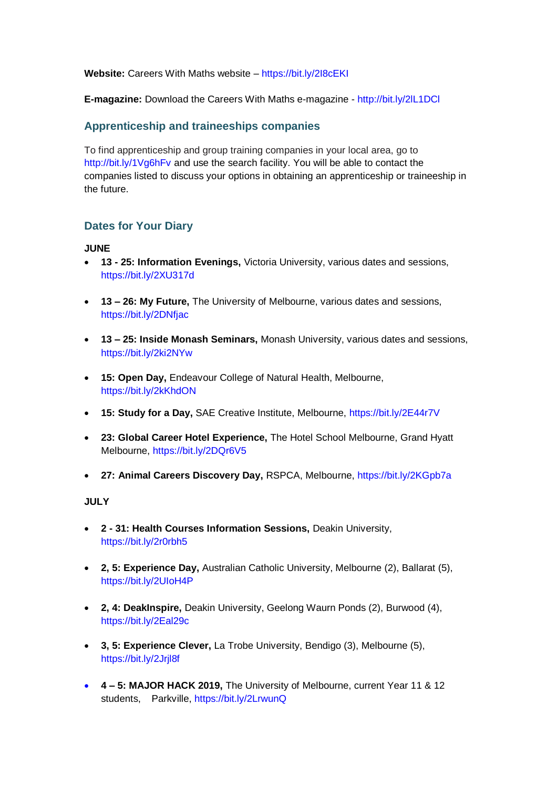**Website:** Careers With Maths website – <https://bit.ly/2I8cEKI>

**E-magazine:** Download the Careers With Maths e-magazine - <http://bit.ly/2lL1DCl>

## **Apprenticeship and traineeships companies**

To find apprenticeship and group training companies in your local area, go to <http://bit.ly/1Vg6hFv> and use the search facility. You will be able to contact the companies listed to discuss your options in obtaining an apprenticeship or traineeship in the future.

# **Dates for Your Diary**

#### **JUNE**

- **13 - 25: Information Evenings,** Victoria University, various dates and sessions, <https://bit.ly/2XU317d>
- **13 – 26: My Future,** The University of Melbourne, various dates and sessions, <https://bit.ly/2DNfjac>
- **13 – 25: Inside Monash Seminars,** Monash University, various dates and sessions, <https://bit.ly/2ki2NYw>
- **15: Open Day,** Endeavour College of Natural Health, Melbourne, <https://bit.ly/2kKhdON>
- **15: Study for a Day,** SAE Creative Institute, Melbourne,<https://bit.ly/2E44r7V>
- **23: Global Career Hotel Experience,** The Hotel School Melbourne, Grand Hyatt Melbourne,<https://bit.ly/2DQr6V5>
- **27: Animal Careers Discovery Day,** RSPCA, Melbourne,<https://bit.ly/2KGpb7a>

## **JULY**

- **2 - 31: Health Courses Information Sessions,** Deakin University, <https://bit.ly/2r0rbh5>
- **2, 5: Experience Day,** Australian Catholic University, Melbourne (2), Ballarat (5), <https://bit.ly/2UIoH4P>
- **2, 4: DeakInspire,** Deakin University, Geelong Waurn Ponds (2), Burwood (4), <https://bit.ly/2Eal29c>
- **3, 5: Experience Clever,** La Trobe University, Bendigo (3), Melbourne (5), <https://bit.ly/2Jrjl8f>
- **4 – 5: MAJOR HACK 2019,** The University of Melbourne, current Year 11 & 12 students, Parkville,<https://bit.ly/2LrwunQ>